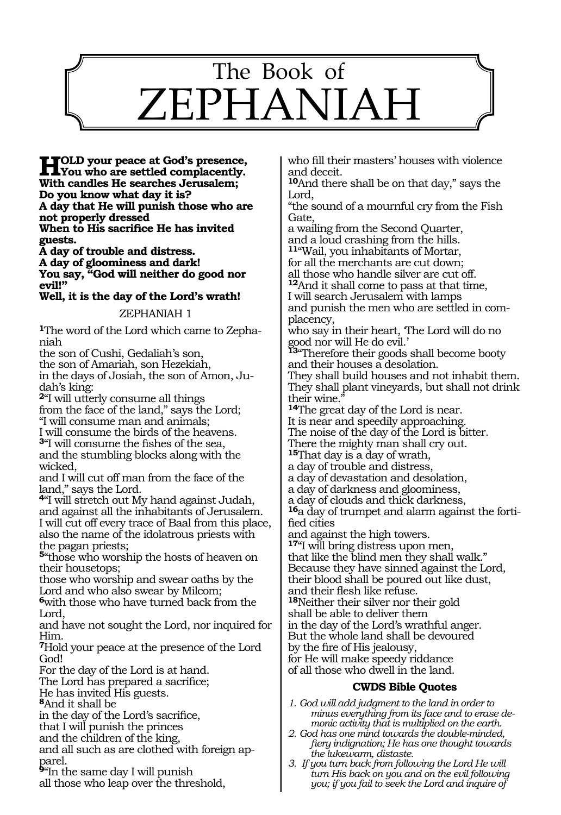

**HOLD your peace at God's presence,**<br>
Wou who are settled complacently.<br>
With sendles He seembes Investory. **With candles He searches Jerusalem; Do you know what day it is? A day that He will punish those who are not properly dressed When to His sacrifice He has invited guests.** 

**A day of trouble and distress. A day of gloominess and dark! You say, "God will neither do good nor evil!"** 

**Well, it is the day of the Lord's wrath!** 

### ZEPHANIAH 1

**1**The word of the Lord which came to Zephaniah

the son of Cushi, Gedaliah's son,

the son of Amariah, son Hezekiah, in the days of Josiah, the son of Amon, Judah's king:

**<sup>2</sup>**"I will utterly consume all things from the face of the land," says the Lord; "I will consume man and animals;

I will consume the birds of the heavens. **<sup>3</sup>**"I will consume the fishes of the sea, and the stumbling blocks along with the wicked,

and I will cut off man from the face of the land," says the Lord.

**<sup>4</sup>**"I will stretch out My hand against Judah, and against all the inhabitants of Jerusalem. I will cut off every trace of Baal from this place, also the name of the idolatrous priests with the pagan priests;

**<sup>5</sup>**"those who worship the hosts of heaven on their housetops;

those who worship and swear oaths by the Lord and who also swear by Milcom;

**<sup>6</sup>**with those who have turned back from the Lord,

and have not sought the Lord, nor inquired for Him.

**<sup>7</sup>**Hold your peace at the presence of the Lord God!

For the day of the Lord is at hand.

The Lord has prepared a sacrifice;

He has invited His guests.

**<sup>8</sup>**And it shall be

in the day of the Lord's sacrifice,

that I will punish the princes

and the children of the king,

and all such as are clothed with foreign apparel.

**<sup>9</sup>**"In the same day I will punish all those who leap over the threshold, who fill their masters' houses with violence and deceit.

**<sup>10</sup>**And there shall be on that day," says the Lord,

"the sound of a mournful cry from the Fish Gate,

a wailing from the Second Quarter, and a loud crashing from the hills. **<sup>11</sup>**"Wail, you inhabitants of Mortar, for all the merchants are cut down; all those who handle silver are cut off. **<sup>12</sup>**And it shall come to pass at that time, I will search Jerusalem with lamps and punish the men who are settled in complacency, who say in their heart, 'The Lord will do no good nor will He do evil.' **<sup>13</sup>**"Therefore their goods shall become booty and their houses a desolation. They shall build houses and not inhabit them. They shall plant vineyards, but shall not drink their wine." **<sup>14</sup>**The great day of the Lord is near. It is near and speedily approaching. The noise of the day of the Lord is bitter. There the mighty man shall cry out. **<sup>15</sup>**That day is a day of wrath, a day of trouble and distress, a day of devastation and desolation, a day of darkness and gloominess, a day of clouds and thick darkness, **16**a day of trumpet and alarm against the fortified cities and against the high towers. **<sup>17</sup>**"I will bring distress upon men, that like the blind men they shall walk." Because they have sinned against the Lord, their blood shall be poured out like dust, and their flesh like refuse. **<sup>18</sup>**Neither their silver nor their gold shall be able to deliver them in the day of the Lord's wrathful anger. But the whole land shall be devoured by the fire of His jealousy, for He will make speedy riddance of all those who dwell in the land. **CWDS Bible Quotes**

# *1. God will add judgment to the land in order to minus everything from its face and to erase de-*

- *monic activity that is multiplied on the earth. 2. God has one mind towards the double-minded, fiery indignation; He has one thought towards the lukewarm, distaste.*
- *3. If you turn back from following the Lord He will turn His back on you and on the evil following you; if you fail to seek the Lord and inquire of*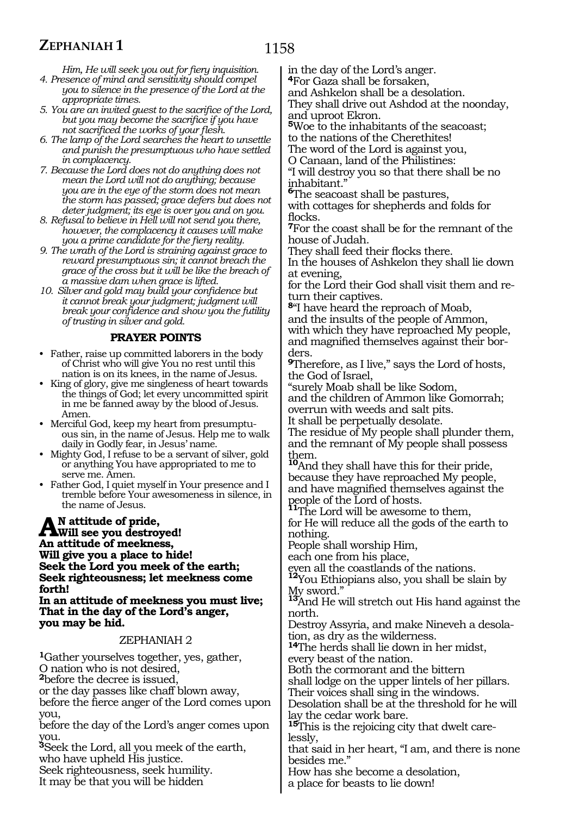# **ZEPHANIAH 1**

*Him, He will seek you out for fiery inquisition.*

- *4. Presence of mind and sensitivity should compel you to silence in the presence of the Lord at the appropriate times.*
- *5. You are an invited guest to the sacrifice of the Lord, but you may become the sacrifice if you have not sacrificed the works of your flesh.*
- *6. The lamp of the Lord searches the heart to unsettle and punish the presumptuous who have settled in complacency.*
- *7. Because the Lord does not do anything does not mean the Lord will not do anything; because you are in the eye of the storm does not mean the storm has passed; grace defers but does not deter judgment; its eye is over you and on you.*
- *8. Refusal to believe in Hell will not send you there, however, the complacency it causes will make you a prime candidate for the fiery reality.*
- *9. The wrath of the Lord is straining against grace to reward presumptuous sin; it cannot breach the grace of the cross but it will be like the breach of a massive dam when grace is lifted.*
- *10. Silver and gold may build your confidence but it cannot break your judgment; judgment will break your confidence and show you the futility of trusting in silver and gold.*

## **PRAYER POINTS**

- Father, raise up committed laborers in the body of Christ who will give You no rest until this nation is on its knees, in the name of Jesus.
- King of glory, give me singleness of heart towards the things of God; let every uncommitted spirit in me be fanned away by the blood of Jesus. Amen.
- Merciful God, keep my heart from presumptuous sin, in the name of Jesus. Help me to walk daily in Godly fear, in Jesus' name.
- Mighty God, I refuse to be a servant of silver, gold or anything You have appropriated to me to serve me. Amen.
- Father God, I quiet myself in Your presence and I tremble before Your awesomeness in silence, in the name of Jesus.

**An attitude of pride, Will see you destroyed! An attitude of meekness, Will give you a place to hide! Seek the Lord you meek of the earth; Seek righteousness; let meekness come forth!**

**In an attitude of meekness you must live; That in the day of the Lord's anger, you may be hid.**

#### ZEPHANIAH 2

**<sup>1</sup>**Gather yourselves together, yes, gather, O nation who is not desired, **<sup>2</sup>**before the decree is issued, or the day passes like chaff blown away, before the fierce anger of the Lord comes upon you,

before the day of the Lord's anger comes upon you.

**<sup>3</sup>**Seek the Lord, all you meek of the earth, who have upheld His justice.

Seek righteousness, seek humility.

It may be that you will be hidden

in the day of the Lord's anger.

**<sup>4</sup>**For Gaza shall be forsaken,

and Ashkelon shall be a desolation.

They shall drive out Ashdod at the noonday, and uproot Ekron.

**<sup>5</sup>**Woe to the inhabitants of the seacoast; to the nations of the Cherethites!

The word of the Lord is against you,

O Canaan, land of the Philistines:

"I will destroy you so that there shall be no inhabitant."

**<sup>6</sup>**The seacoast shall be pastures,

with cottages for shepherds and folds for flocks.

**<sup>7</sup>**For the coast shall be for the remnant of the house of Judah.

They shall feed their flocks there.

In the houses of Ashkelon they shall lie down at evening,

for the Lord their God shall visit them and return their captives.

**<sup>8</sup>**"I have heard the reproach of Moab,

and the insults of the people of Ammon, with which they have reproached My people, and magnified themselves against their borders.

**<sup>9</sup>**Therefore, as I live," says the Lord of hosts, the God of Israel,

"surely Moab shall be like Sodom,

and the children of Ammon like Gomorrah; overrun with weeds and salt pits.

It shall be perpetually desolate.

The residue of My people shall plunder them, and the remnant of My people shall possess them.

**<sup>10</sup>**And they shall have this for their pride, because they have reproached My people, and have magnified themselves against the people of the Lord of hosts. **<sup>11</sup>**The Lord will be awesome to them,

for He will reduce all the gods of the earth to nothing.

People shall worship Him,

each one from his place,

even all the coastlands of the nations. **<sup>12</sup>**You Ethiopians also, you shall be slain by My sword."

**<sup>13</sup>**And He will stretch out His hand against the north.

Destroy Assyria, and make Nineveh a desolation, as dry as the wilderness.

**<sup>14</sup>**The herds shall lie down in her midst, every beast of the nation.

Both the cormorant and the bittern

shall lodge on the upper lintels of her pillars.

Their voices shall sing in the windows.

Desolation shall be at the threshold for he will lay the cedar work bare.

**<sup>15</sup>**This is the rejoicing city that dwelt care- lessly,

that said in her heart, "I am, and there is none besides me.'

How has she become a desolation,

a place for beasts to lie down!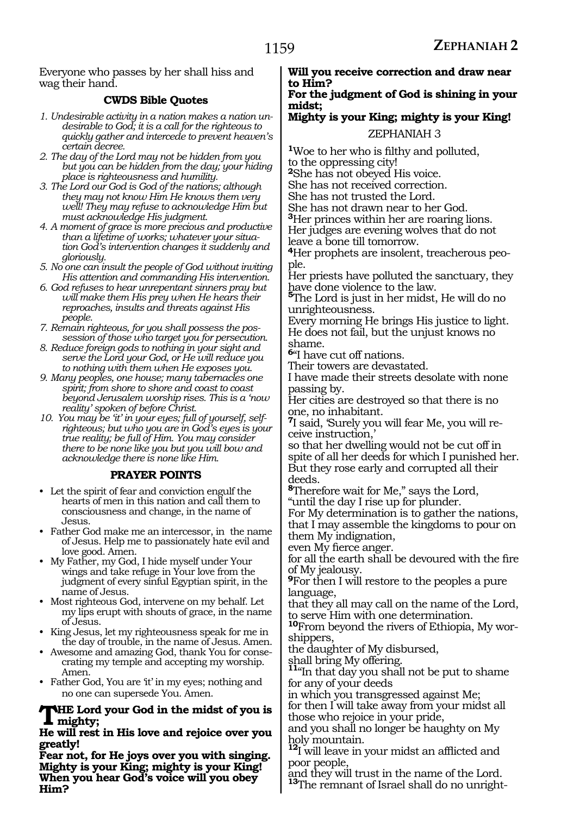Everyone who passes by her shall hiss and wag their hand.

# **CWDS Bible Quotes**

- *1. Undesirable activity in a nation makes a nation undesirable to God; it is a call for the righteous to quickly gather and intercede to prevent heaven's certain decree.*
- *2. The day of the Lord may not be hidden from you but you can be hidden from the day; your hiding place is righteousness and humility.*
- *3. The Lord our God is God of the nations; although they may not know Him He knows them very well! They may refuse to acknowledge Him but must acknowledge His judgment.*
- *4. A moment of grace is more precious and productive than a lifetime of works; whatever your situation God's intervention changes it suddenly and gloriously.*
- *5. No one can insult the people of God without inviting His attention and commanding His intervention.*
- *6. God refuses to hear unrepentant sinners pray but will make them His prey when He hears their reproaches, insults and threats against His people.*
- *7. Remain righteous, for you shall possess the possession of those who target you for persecution.*
- *8. Reduce foreign gods to nothing in your sight and serve the Lord your God, or He will reduce you to nothing with them when He exposes you.*
- *9. Many peoples, one house; many tabernacles one spirit; from shore to shore and coast to coast beyond Jerusalem worship rises. This is a 'now reality' spoken of before Christ.*
- *10. You may be 'it' in your eyes; full of yourself, selfrighteous; but who you are in God's eyes is your true reality; be full of Him. You may consider there to be none like you but you will bow and acknowledge there is none like Him.*

## **PRAYER POINTS**

- Let the spirit of fear and conviction engulf the hearts of men in this nation and call them to consciousness and change, in the name of Jesus.
- Father God make me an intercessor, in the name of Jesus. Help me to passionately hate evil and love good. Amen.
- My Father, my God, I hide myself under Your wings and take refuge in Your love from the judgment of every sinful Egyptian spirit, in the name of Jesus.
- Most righteous God, intervene on my behalf. Let my lips erupt with shouts of grace, in the name of Jesus.
- King Jesus, let my righteousness speak for me in the day of trouble, in the name of Jesus. Amen.
- Awesome and amazing God, thank You for consecrating my temple and accepting my worship. Amen.
- Father God, You are 'it' in my eyes; nothing and no one can supersede You. Amen.

#### **The Lord your God in the midst of you is mighty;**

#### **He will rest in His love and rejoice over you greatly!**

**Fear not, for He joys over you with singing. Mighty is your King; mighty is your King! When you hear God's voice will you obey Him?**

#### **Will you receive correction and draw near to Him?**

#### **For the judgment of God is shining in your midst;**

# **Mighty is your King; mighty is your King!**

### ZEPHANIAH 3

**<sup>1</sup>**Woe to her who is filthy and polluted, to the oppressing city!

**<sup>2</sup>**She has not obeyed His voice.

She has not received correction.

She has not trusted the Lord.

She has not drawn near to her God.

**<sup>3</sup>**Her princes within her are roaring lions. Her judges are evening wolves that do not leave a bone till tomorrow.

**4**Her prophets are insolent, treacherous people.

Her priests have polluted the sanctuary, they have done violence to the law.

**<sup>5</sup>**The Lord is just in her midst, He will do no unrighteousness.

Every morning He brings His justice to light. He does not fail, but the unjust knows no shame.

**<sup>6</sup>**"I have cut off nations.

Their towers are devastated.

I have made their streets desolate with none passing by.

Her cities are destroyed so that there is no one, no inhabitant.

**7**I said, 'Surely you will fear Me, you will receive instruction,'

so that her dwelling would not be cut off in spite of all her deeds for which I punished her. But they rose early and corrupted all their deeds.

**<sup>8</sup>**Therefore wait for Me," says the Lord, "until the day I rise up for plunder.

For My determination is to gather the nations, that I may assemble the kingdoms to pour on them My indignation,

even My fierce anger.

for all the earth shall be devoured with the fire of My jealousy.

**<sup>9</sup>**For then I will restore to the peoples a pure language,

that they all may call on the name of the Lord, to serve Him with one determination.

**<sup>10</sup>**From beyond the rivers of Ethiopia, My wor- shippers,

the daughter of My disbursed,

shall bring My offering. **<sup>11</sup>**"In that day you shall not be put to shame for any of your deeds

in which you transgressed against Me;

for then I will take away from your midst all those who rejoice in your pride,

and you shall no longer be haughty on My holy mountain.

**<sup>12</sup>**I will leave in your midst an afflicted and poor people,

and they will trust in the name of the Lord. **<sup>13</sup>**The remnant of Israel shall do no unright-